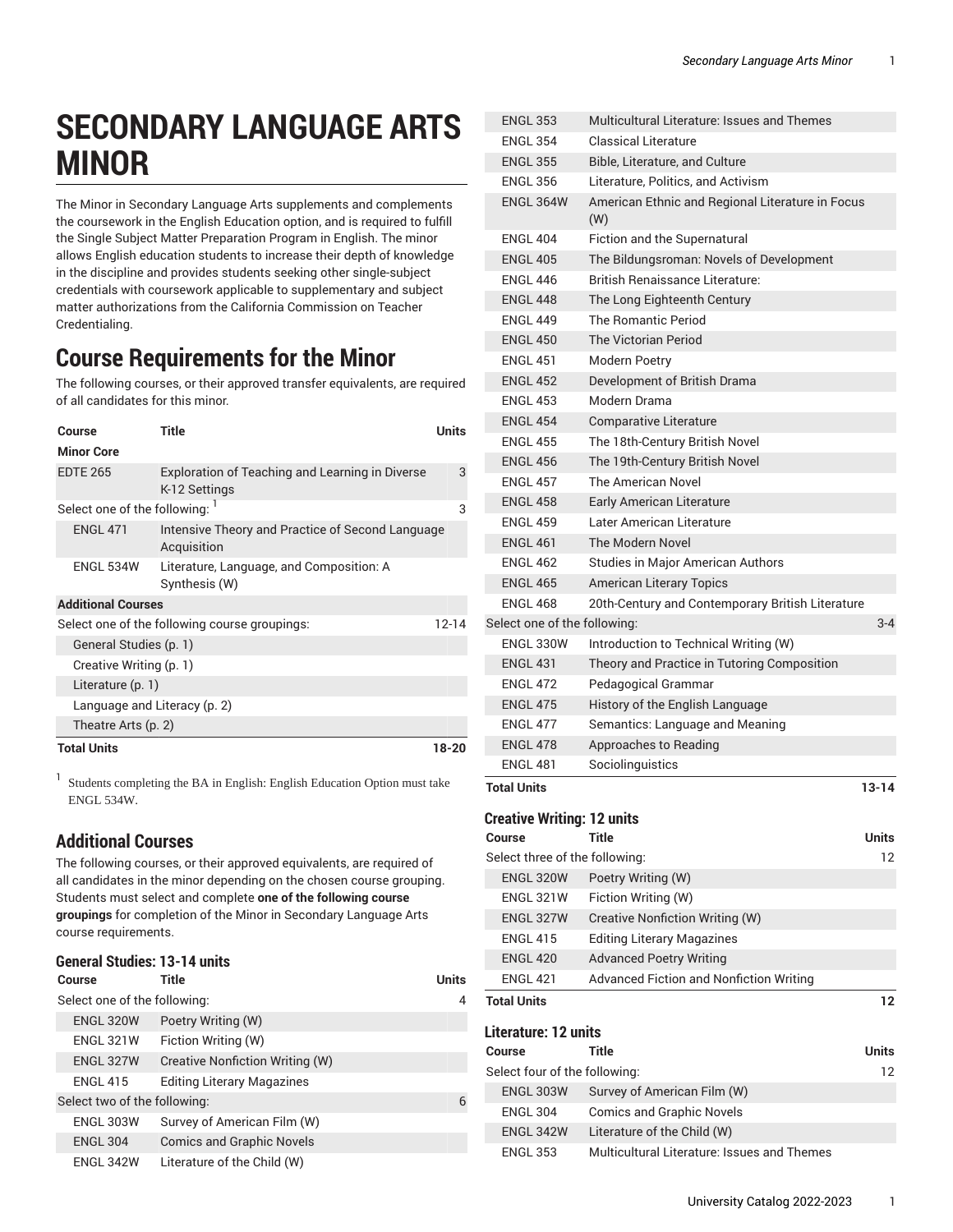# **SECONDARY LANGUAGE ARTS MINOR**

The Minor in Secondary Language Arts supplements and complements the coursework in the English Education option, and is required to fulfill the Single Subject Matter Preparation Program in English. The minor allows English education students to increase their depth of knowledge in the discipline and provides students seeking other single-subject credentials with coursework applicable to supplementary and subject matter authorizations from the California Commission on Teacher Credentialing.

## **Course Requirements for the Minor**

The following courses, or their approved transfer equivalents, are required of all candidates for this minor.

| Course                                                     | Title                                                            | <b>Units</b> |  |  |
|------------------------------------------------------------|------------------------------------------------------------------|--------------|--|--|
| <b>Minor Core</b>                                          |                                                                  |              |  |  |
| <b>EDTE 265</b>                                            | Exploration of Teaching and Learning in Diverse<br>K-12 Settings | 3            |  |  |
| Select one of the following: 1                             |                                                                  |              |  |  |
| <b>ENGL 471</b>                                            | Intensive Theory and Practice of Second Language<br>Acquisition  |              |  |  |
| ENGL 534W                                                  | Literature, Language, and Composition: A<br>Synthesis (W)        |              |  |  |
| <b>Additional Courses</b>                                  |                                                                  |              |  |  |
| Select one of the following course groupings:<br>$12 - 14$ |                                                                  |              |  |  |
| General Studies (p. 1)                                     |                                                                  |              |  |  |
| Creative Writing (p. 1)                                    |                                                                  |              |  |  |
| Literature (p. 1)                                          |                                                                  |              |  |  |
| Language and Literacy (p. 2)                               |                                                                  |              |  |  |
| Theatre Arts (p. 2)                                        |                                                                  |              |  |  |
| <b>Total Units</b>                                         |                                                                  | 18-20        |  |  |

<span id="page-0-1"></span><sup>1</sup> Students completing the BA in English: English Education Option must take ENGL 534W.

#### **Additional Courses**

The following courses, or their approved equivalents, are required of all candidates in the minor depending on the chosen course grouping. Students must select and complete **one of the following course groupings** for completion of the Minor in Secondary Language Arts course requirements.

#### <span id="page-0-0"></span>**General Studies: 13-14 units**

<span id="page-0-2"></span>

| <b>Course</b>                | Title                             | Units |
|------------------------------|-----------------------------------|-------|
| Select one of the following: |                                   | 4     |
| <b>ENGL 320W</b>             | Poetry Writing (W)                |       |
| <b>ENGL 321W</b>             | Fiction Writing (W)               |       |
| <b>ENGL 327W</b>             | Creative Nonfiction Writing (W)   |       |
| <b>ENGL 415</b>              | <b>Editing Literary Magazines</b> |       |
| Select two of the following: |                                   | 6     |
| <b>ENGL 303W</b>             | Survey of American Film (W)       |       |
| <b>ENGL 304</b>              | <b>Comics and Graphic Novels</b>  |       |
| ENGL 342W                    | Literature of the Child (W)       |       |

| <b>ENGL 353</b>                   | Multicultural Literature: Issues and Themes             |         |
|-----------------------------------|---------------------------------------------------------|---------|
| <b>ENGL 354</b>                   | Classical Literature                                    |         |
| <b>ENGL 355</b>                   | Bible, Literature, and Culture                          |         |
| <b>ENGL 356</b>                   | Literature, Politics, and Activism                      |         |
| <b>ENGL 364W</b>                  | American Ethnic and Regional Literature in Focus<br>(W) |         |
| <b>ENGL 404</b>                   | Fiction and the Supernatural                            |         |
| <b>ENGL 405</b>                   | The Bildungsroman: Novels of Development                |         |
| <b>FNGI 446</b>                   | British Renaissance Literature:                         |         |
| <b>ENGL 448</b>                   | The Long Eighteenth Century                             |         |
| <b>ENGL 449</b>                   | The Romantic Period                                     |         |
| <b>ENGL 450</b>                   | <b>The Victorian Period</b>                             |         |
| <b>ENGL 451</b>                   | Modern Poetry                                           |         |
| <b>ENGL 452</b>                   | Development of British Drama                            |         |
| <b>ENGL 453</b>                   | Modern Drama                                            |         |
| <b>ENGL 454</b>                   | <b>Comparative Literature</b>                           |         |
| <b>ENGL 455</b>                   | The 18th-Century British Novel                          |         |
| <b>ENGL 456</b>                   | The 19th-Century British Novel                          |         |
| <b>ENGL 457</b>                   | The American Novel                                      |         |
| <b>ENGL 458</b>                   | <b>Early American Literature</b>                        |         |
| <b>ENGL 459</b>                   | Later American Literature                               |         |
| <b>ENGL 461</b>                   | The Modern Novel                                        |         |
| <b>ENGL 462</b>                   | Studies in Major American Authors                       |         |
| <b>ENGL 465</b>                   | <b>American Literary Topics</b>                         |         |
| <b>ENGL 468</b>                   | 20th-Century and Contemporary British Literature        |         |
| Select one of the following:      |                                                         | $3 - 4$ |
| <b>ENGL 330W</b>                  | Introduction to Technical Writing (W)                   |         |
| <b>ENGL 431</b>                   | Theory and Practice in Tutoring Composition             |         |
| <b>ENGL 472</b>                   | Pedagogical Grammar                                     |         |
| <b>ENGL 475</b>                   | History of the English Language                         |         |
| <b>ENGL 477</b>                   | Semantics: Language and Meaning                         |         |
| <b>ENGL 478</b>                   | Approaches to Reading                                   |         |
| <b>ENGL 481</b>                   | Sociolinguistics                                        |         |
| <b>Total Units</b>                |                                                         | 13-14   |
| <b>Creative Writing: 12 units</b> |                                                         |         |
| <b>Course</b>                     | <b>Title</b>                                            | Units   |
| Select three of the following:    |                                                         | 12      |
| <b>ENGL 320W</b>                  | Poetry Writing (W)                                      |         |
| <b>ENGL 321W</b>                  | Fiction Writing (W)                                     |         |
| <b>ENGL 327W</b>                  | <b>Creative Nonfiction Writing (W)</b>                  |         |
| <b>ENGL 415</b>                   | <b>Editing Literary Magazines</b>                       |         |
| <b>ENGL 420</b>                   | <b>Advanced Poetry Writing</b>                          |         |
| <b>ENGL 421</b>                   | Advanced Fiction and Nonfiction Writing                 |         |
| <b>Total Units</b>                |                                                         | 12      |
| Literature: 12 units              |                                                         |         |
| Course                            | <b>Title</b>                                            | Units   |
| Select four of the following:     |                                                         | 12      |
| <b>ENGL 303W</b>                  | Survey of American Film (W)                             |         |
| <b>ENGL 304</b>                   | <b>Comics and Graphic Novels</b>                        |         |
| <b>ENGL 342W</b>                  | Literature of the Child (W)                             |         |
| <b>ENGL 353</b>                   | Multicultural Literature: Issues and Themes             |         |